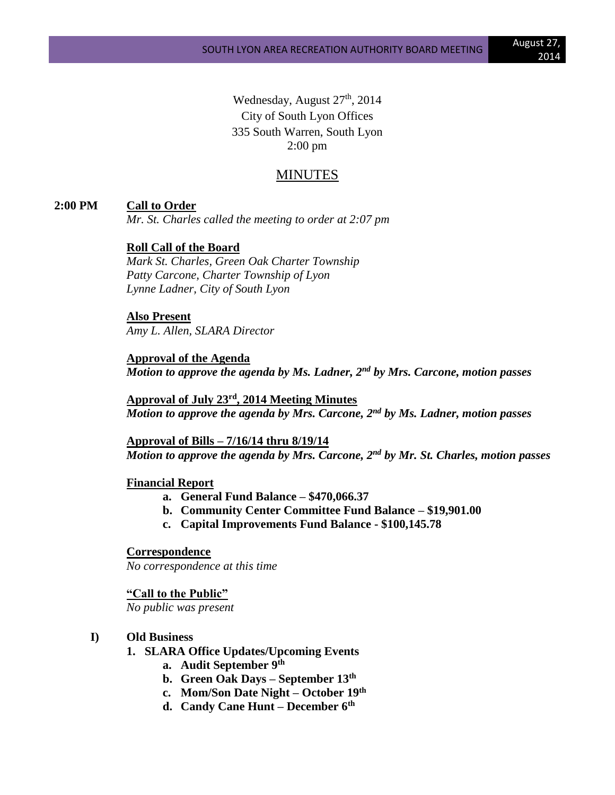Wednesday, August 27<sup>th</sup>, 2014 City of South Lyon Offices 335 South Warren, South Lyon 2:00 pm

# MINUTES

### **2:00 PM Call to Order**

*Mr. St. Charles called the meeting to order at 2:07 pm*

### **Roll Call of the Board**

*Mark St. Charles, Green Oak Charter Township Patty Carcone, Charter Township of Lyon Lynne Ladner, City of South Lyon*

**Also Present** *Amy L. Allen, SLARA Director*

**Approval of the Agenda** *Motion to approve the agenda by Ms. Ladner, 2nd by Mrs. Carcone, motion passes*

**Approval of July 23rd , 2014 Meeting Minutes** *Motion to approve the agenda by Mrs. Carcone, 2nd by Ms. Ladner, motion passes*

**Approval of Bills – 7/16/14 thru 8/19/14** *Motion to approve the agenda by Mrs. Carcone, 2nd by Mr. St. Charles, motion passes*

#### **Financial Report**

- **a. General Fund Balance – \$470,066.37**
- **b. Community Center Committee Fund Balance – \$19,901.00**
- **c. Capital Improvements Fund Balance - \$100,145.78**

**Correspondence** *No correspondence at this time*

**"Call to the Public"**

*No public was present*

#### **I) Old Business**

- **1. SLARA Office Updates/Upcoming Events**
	- **a. Audit September 9th**
	- **b. Green Oak Days – September 13th**
	- **c. Mom/Son Date Night – October 19th**
	- **d. Candy Cane Hunt – December 6th**